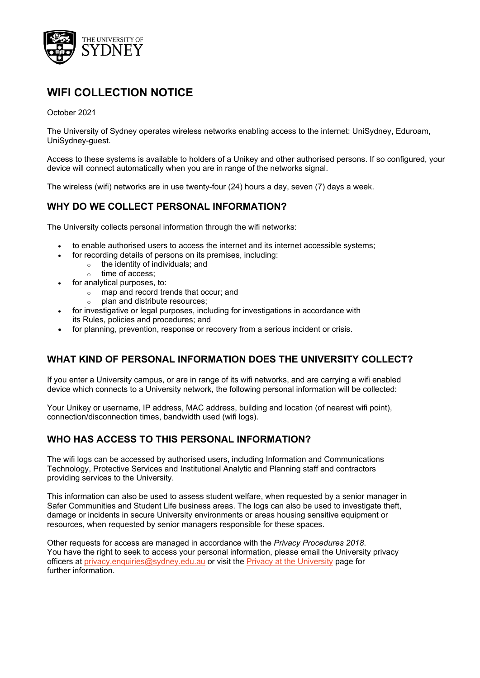

# **WIFI COLLECTION NOTICE**

#### October 2021

The University of Sydney operates wireless networks enabling access to the internet: UniSydney, Eduroam, UniSydney-guest.

Access to these systems is available to holders of a Unikey and other authorised persons. If so configured, your device will connect automatically when you are in range of the networks signal.

The wireless (wifi) networks are in use twenty-four (24) hours a day, seven (7) days a week.

## **WHY DO WE COLLECT PERSONAL INFORMATION?**

The University collects personal information through the wifi networks:

- to enable authorised users to access the internet and its internet accessible systems;
	- for recording details of persons on its premises, including:
		- $\circ$  the identity of individuals; and
			- o time of access;
- for analytical purposes, to:
	- o map and record trends that occur; and
	- o plan and distribute resources;
- for investigative or legal purposes, including for investigations in accordance with its Rules, policies and procedures; and
- for planning, prevention, response or recovery from a serious incident or crisis.

#### **WHAT KIND OF PERSONAL INFORMATION DOES THE UNIVERSITY COLLECT?**

If you enter a University campus, or are in range of its wifi networks, and are carrying a wifi enabled device which connects to a University network, the following personal information will be collected:

Your Unikey or username, IP address, MAC address, building and location (of nearest wifi point), connection/disconnection times, bandwidth used (wifi logs).

#### **WHO HAS ACCESS TO THIS PERSONAL INFORMATION?**

The wifi logs can be accessed by authorised users, including Information and Communications Technology, Protective Services and Institutional Analytic and Planning staff and contractors providing services to the University.

This information can also be used to assess student welfare, when requested by a senior manager in Safer Communities and Student Life business areas. The logs can also be used to investigate theft, damage or incidents in secure University environments or areas housing sensitive equipment or resources, when requested by senior managers responsible for these spaces.

Other requests for access are managed in accordance with the *Privacy Procedures 2018*. You have the right to seek to access your personal information, please email the University privacy officers at [privacy.enquiries@sydney.edu.au](mailto:privacy.enquiries@sydney.edu.au) or visit the [Privacy at the University](https://sydney.edu.au/about-us/governance-and-structure/privacy-and-university-information.html) [page](https://sydney.edu.au/about-us/governance-and-structure/privacy-and-university-information.html) for further information.